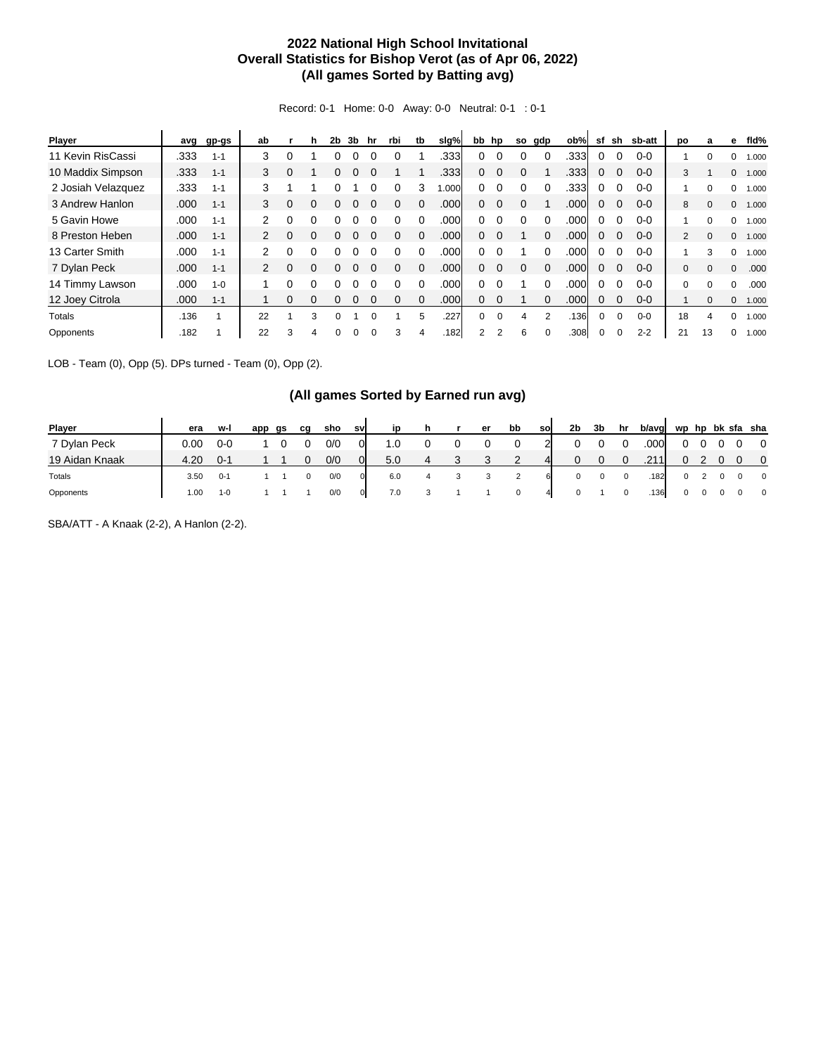## **2022 National High School Invitational Overall Statistics for Bishop Verot (as of Apr 06, 2022) (All games Sorted by Batting avg)**

Record: 0-1 Home: 0-0 Away: 0-0 Neutral: 0-1 : 0-1

| Player             | avg  | gp-gs   | ab                   |   | h            | 2b | 3b | hr       | rbi      | tb       | slg%              |                | bb hp    | so | gdp      | ob%  | sf       | sh       | sb-att  | po           | a        | е            | fld%  |
|--------------------|------|---------|----------------------|---|--------------|----|----|----------|----------|----------|-------------------|----------------|----------|----|----------|------|----------|----------|---------|--------------|----------|--------------|-------|
| 11 Kevin RisCassi  | .333 | $1 - 1$ | 3                    | 0 |              |    |    |          |          |          | .3331             | 0              | $\Omega$ |    | $\Omega$ | .333 | 0        |          | $0-0$   |              | 0        | 0            | 1.000 |
| 10 Maddix Simpson  | .333 | $1 - 1$ | 3                    | 0 |              | 0  |    |          |          |          | .3331             | 0              | $\Omega$ | 0  |          | .333 | 0        |          | $0 - 0$ | 3            |          | $\mathbf{0}$ | 1.000 |
| 2 Josiah Velazquez | .333 | $1 - 1$ | 3                    |   |              |    |    |          |          |          | 000.1             | 0              |          |    |          | .333 | 0        |          | $0 - 0$ |              |          | 0            | 1.000 |
| 3 Andrew Hanlon    | .000 | $1 - 1$ | 3                    | 0 |              |    |    |          |          |          | .000              | 0              | $\Omega$ | 0  |          | .000 | 0        |          | $0 - 0$ | 8            |          | $\mathbf{0}$ | 1.000 |
| 5 Gavin Howe       | .000 | $1 - 1$ | $\mathbf{2}^{\circ}$ | 0 |              |    |    |          |          |          | .000              | 0              |          |    |          | .000 | 0        |          | $0 - 0$ |              |          | $\Omega$     | 1.000 |
| 8 Preston Heben    | .000 | $1 - 1$ | $\mathbf{2}$         | 0 | $\Omega$     |    |    |          |          |          | .000              | 0              |          |    |          | .000 | O        |          | $0 - 0$ | 2            | $\Omega$ | $\mathbf{0}$ | 1.000 |
| 13 Carter Smith    | .000 | $1 - 1$ | $\mathcal{P}$        | 0 | <sup>0</sup> |    |    |          |          |          | .000              | 0              | $\Omega$ |    |          | .000 | o        |          | $0 - 0$ |              | 3        | $\Omega$     | 1.000 |
| 7 Dylan Peck       | .000 | $1 - 1$ | $\mathbf{2}^{\circ}$ | 0 | $\Omega$     |    |    | $\Omega$ | $\Omega$ | $\Omega$ | .000              | $\Omega$       | $\Omega$ | 0  | $\Omega$ | .000 | 0        | $\Omega$ | $0 - 0$ | $\mathbf{0}$ | $\Omega$ | $\Omega$     | .000  |
| 14 Timmy Lawson    | .000 | $1 - 0$ |                      |   |              |    |    |          |          |          | .000              | 0              |          |    |          | .000 | 0        |          | $0 - 0$ | $\Omega$     | $\Omega$ | $\Omega$     | .000  |
| 12 Joey Citrola    | .000 | $1 - 1$ |                      | 0 | 0            |    |    |          |          |          | .000 <sub>1</sub> | 0              | 0        |    |          | .000 | 0        |          | $0 - 0$ |              | $\Omega$ | $\mathbf{0}$ | 1.000 |
| <b>Totals</b>      | .136 |         | 22                   |   | 3            | O  |    |          |          | 5        | .227              | $\Omega$       | $\Omega$ | 4  | 2        | .136 | $\Omega$ |          | $0 - 0$ | 18           | Δ        | $\Omega$     | 1.000 |
| Opponents          | .182 |         | 22                   |   |              |    |    |          | 3        |          | .182              | $\overline{2}$ |          | 6  |          | .308 |          |          | $2 - 2$ | 21           | 13       | 0            | 1.000 |

LOB - Team (0), Opp (5). DPs turned - Team (0), Opp (2).

## **(All games Sorted by Earned run avg)**

| Player         | era  | w-l     | app | gs | ca | sho | sv           | in  | h | er | bb       | sol            | 2b | 3b | hr | b/avg |   |  |     | wp hp bk sfa sha        |
|----------------|------|---------|-----|----|----|-----|--------------|-----|---|----|----------|----------------|----|----|----|-------|---|--|-----|-------------------------|
| 7 Dylan Peck   | 0.00 | $0-0$   |     |    |    | 0/0 | 0l           | l.0 |   |    |          |                |    |    |    | .000  |   |  |     | $\overline{0}$          |
| 19 Aidan Knaak | 4.20 | $0 - 1$ |     |    |    | 0/0 | 0I           | 5.0 |   |    |          | $\overline{4}$ |    |    |    | .211  |   |  | - റ | $\overline{\mathbf{0}}$ |
| Totals         | 3.50 | $0 - 1$ |     |    |    | 0/0 | $\Omega$     | 6.0 |   |    |          | 6              | 0  |    | 0  | .182  |   |  | - 0 | $\overline{0}$          |
| Opponents      | 1.00 | $1 - 0$ |     |    |    | 0/0 | $\mathbf{0}$ | 7.0 |   |    | $\Omega$ | 4              |    |    |    | .136  | 0 |  |     | $\overline{0}$          |

SBA/ATT - A Knaak (2-2), A Hanlon (2-2).